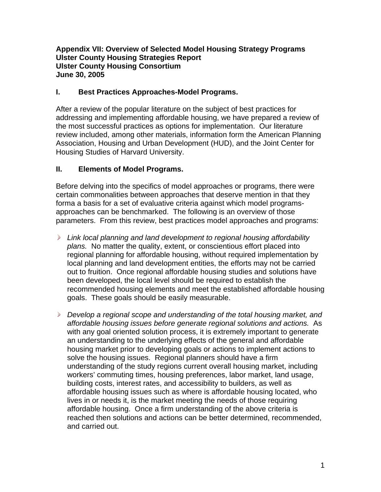### **Appendix VII: Overview of Selected Model Housing Strategy Programs Ulster County Housing Strategies Report Ulster County Housing Consortium June 30, 2005**

### **I. Best Practices Approaches-Model Programs.**

After a review of the popular literature on the subject of best practices for addressing and implementing affordable housing, we have prepared a review of the most successful practices as options for implementation. Our literature review included, among other materials, information form the American Planning Association, Housing and Urban Development (HUD), and the Joint Center for Housing Studies of Harvard University.

## **II. Elements of Model Programs.**

Before delving into the specifics of model approaches or programs, there were certain commonalities between approaches that deserve mention in that they forma a basis for a set of evaluative criteria against which model programsapproaches can be benchmarked. The following is an overview of those parameters. From this review, best practices model approaches and programs:

- *Link local planning and land development to regional housing affordability plans.* No matter the quality, extent, or conscientious effort placed into regional planning for affordable housing, without required implementation by local planning and land development entities, the efforts may not be carried out to fruition. Once regional affordable housing studies and solutions have been developed, the local level should be required to establish the recommended housing elements and meet the established affordable housing goals. These goals should be easily measurable.
- *Develop a regional scope and understanding of the total housing market, and affordable housing issues before generate regional solutions and actions.* As with any goal oriented solution process, it is extremely important to generate an understanding to the underlying effects of the general and affordable housing market prior to developing goals or actions to implement actions to solve the housing issues. Regional planners should have a firm understanding of the study regions current overall housing market, including workers' commuting times, housing preferences, labor market, land usage, building costs, interest rates, and accessibility to builders, as well as affordable housing issues such as where is affordable housing located, who lives in or needs it, is the market meeting the needs of those requiring affordable housing. Once a firm understanding of the above criteria is reached then solutions and actions can be better determined, recommended, and carried out.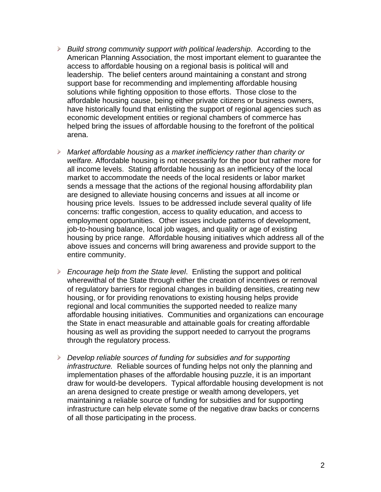- *Build strong community support with political leadership*. According to the American Planning Association, the most important element to guarantee the access to affordable housing on a regional basis is political will and leadership. The belief centers around maintaining a constant and strong support base for recommending and implementing affordable housing solutions while fighting opposition to those efforts. Those close to the affordable housing cause, being either private citizens or business owners, have historically found that enlisting the support of regional agencies such as economic development entities or regional chambers of commerce has helped bring the issues of affordable housing to the forefront of the political arena.
- *Market affordable housing as a market inefficiency rather than charity or welfare.* Affordable housing is not necessarily for the poor but rather more for all income levels. Stating affordable housing as an inefficiency of the local market to accommodate the needs of the local residents or labor market sends a message that the actions of the regional housing affordability plan are designed to alleviate housing concerns and issues at all income or housing price levels. Issues to be addressed include several quality of life concerns: traffic congestion, access to quality education, and access to employment opportunities. Other issues include patterns of development, job-to-housing balance, local job wages, and quality or age of existing housing by price range. Affordable housing initiatives which address all of the above issues and concerns will bring awareness and provide support to the entire community.
- *Encourage help from the State level*. Enlisting the support and political wherewithal of the State through either the creation of incentives or removal of regulatory barriers for regional changes in building densities, creating new housing, or for providing renovations to existing housing helps provide regional and local communities the supported needed to realize many affordable housing initiatives. Communities and organizations can encourage the State in enact measurable and attainable goals for creating affordable housing as well as providing the support needed to carryout the programs through the regulatory process.
- *Develop reliable sources of funding for subsidies and for supporting infrastructure.* Reliable sources of funding helps not only the planning and implementation phases of the affordable housing puzzle, it is an important draw for would-be developers. Typical affordable housing development is not an arena designed to create prestige or wealth among developers, yet maintaining a reliable source of funding for subsidies and for supporting infrastructure can help elevate some of the negative draw backs or concerns of all those participating in the process.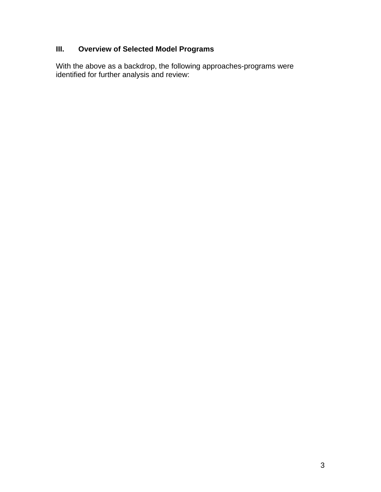# **III. Overview of Selected Model Programs**

With the above as a backdrop, the following approaches-programs were identified for further analysis and review: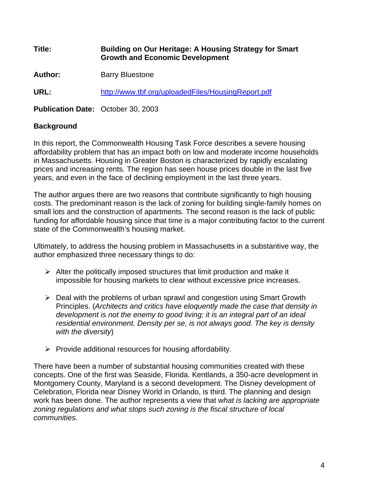**Title: Building on Our Heritage: A Housing Strategy for Smart Growth and Economic Development** 

Author: **Barry Bluestone** 

**URL:** <http://www.tbf.org/uploadedFiles/HousingReport.pdf>

**Publication Date:** October 30, 2003

## **Background**

In this report, the Commonwealth Housing Task Force describes a severe housing affordability problem that has an impact both on low and moderate income households in Massachusetts. Housing in Greater Boston is characterized by rapidly escalating prices and increasing rents. The region has seen house prices double in the last five years, and even in the face of declining employment in the last three years.

The author argues there are two reasons that contribute significantly to high housing costs. The predominant reason is the lack of zoning for building single-family homes on small lots and the construction of apartments. The second reason is the lack of public funding for affordable housing since that time is a major contributing factor to the current state of the Commonwealth's housing market.

Ultimately, to address the housing problem in Massachusetts in a substantive way, the author emphasized three necessary things to do:

- $\triangleright$  Alter the politically imposed structures that limit production and make it impossible for housing markets to clear without excessive price increases.
- $\triangleright$  Deal with the problems of urban sprawl and congestion using Smart Growth Principles. (*Architects and critics have eloquently made the case that density in development is not the enemy to good living; it is an integral part of an ideal residential environment. Density per se, is not always good. The key is density with the diversity*)
- $\triangleright$  Provide additional resources for housing affordability.

There have been a number of substantial housing communities created with these concepts. One of the first was Seaside, Florida. Kentlands, a 350-acre development in Montgomery County, Maryland is a second development. The Disney development of Celebration, Florida near Disney World in Orlando, is third. The planning and design work has been done. The author represents a view that w*hat is lacking are appropriate zoning regulations and what stops such zoning is the fiscal structure of local communities.*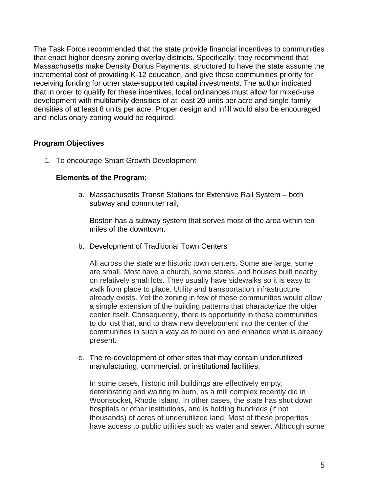The Task Force recommended that the state provide financial incentives to communities that enact higher density zoning overlay districts. Specifically, they recommend that Massachusetts make Density Bonus Payments, structured to have the state assume the incremental cost of providing K-12 education, and give these communities priority for receiving funding for other state-supported capital investments. The author indicated that in order to qualify for these incentives, local ordinances must allow for mixed-use development with multifamily densities of at least 20 units per acre and single-family densities of at least 8 units per acre. Proper design and infill would also be encouraged and inclusionary zoning would be required.

## **Program Objectives**

1. To encourage Smart Growth Development

### **Elements of the Program:**

a. Massachusetts Transit Stations for Extensive Rail System – both subway and commuter rail,

Boston has a subway system that serves most of the area within ten miles of the downtown.

b. Development of Traditional Town Centers

All across the state are historic town centers. Some are large, some are small. Most have a church, some stores, and houses built nearby on relatively small lots. They usually have sidewalks so it is easy to walk from place to place. Utility and transportation infrastructure already exists. Yet the zoning in few of these communities would allow a simple extension of the building patterns that characterize the older center itself. Consequently, there is opportunity in these communities to do just that, and to draw new development into the center of the communities in such a way as to build on and enhance what is already present.

c. The re-development of other sites that may contain underutilized manufacturing, commercial, or institutional facilities.

In some cases, historic mill buildings are effectively empty, deteriorating and waiting to burn, as a mill complex recently did in Woonsocket, Rhode Island. In other cases, the state has shut down hospitals or other institutions, and is holding hundreds (if not thousands) of acres of underutilized land. Most of these properties have access to public utilities such as water and sewer. Although some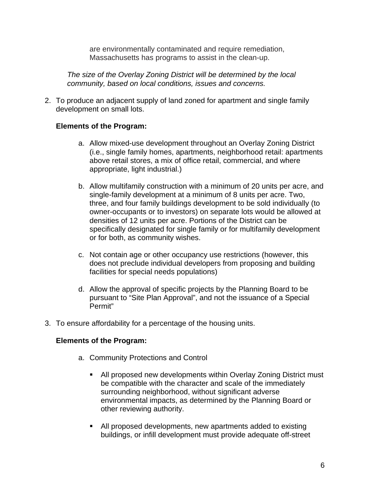are environmentally contaminated and require remediation, Massachusetts has programs to assist in the clean-up.

*The size of the Overlay Zoning District will be determined by the local community, based on local conditions, issues and concerns.* 

2. To produce an adjacent supply of land zoned for apartment and single family development on small lots.

### **Elements of the Program:**

- a. Allow mixed-use development throughout an Overlay Zoning District (i.e., single family homes, apartments, neighborhood retail: apartments above retail stores, a mix of office retail, commercial, and where appropriate, light industrial.)
- b. Allow multifamily construction with a minimum of 20 units per acre, and single-family development at a minimum of 8 units per acre. Two, three, and four family buildings development to be sold individually (to owner-occupants or to investors) on separate lots would be allowed at densities of 12 units per acre. Portions of the District can be specifically designated for single family or for multifamily development or for both, as community wishes.
- c. Not contain age or other occupancy use restrictions (however, this does not preclude individual developers from proposing and building facilities for special needs populations)
- d. Allow the approval of specific projects by the Planning Board to be pursuant to "Site Plan Approval", and not the issuance of a Special Permit"
- 3. To ensure affordability for a percentage of the housing units.

### **Elements of the Program:**

- a. Community Protections and Control
	- All proposed new developments within Overlay Zoning District must be compatible with the character and scale of the immediately surrounding neighborhood, without significant adverse environmental impacts, as determined by the Planning Board or other reviewing authority.
	- All proposed developments, new apartments added to existing buildings, or infill development must provide adequate off-street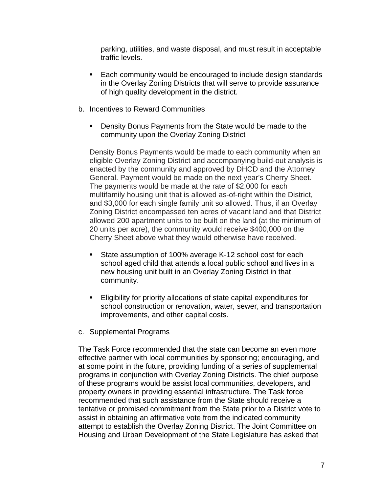parking, utilities, and waste disposal, and must result in acceptable traffic levels.

- Each community would be encouraged to include design standards in the Overlay Zoning Districts that will serve to provide assurance of high quality development in the district.
- b. Incentives to Reward Communities
	- **Density Bonus Payments from the State would be made to the** community upon the Overlay Zoning District

Density Bonus Payments would be made to each community when an eligible Overlay Zoning District and accompanying build-out analysis is enacted by the community and approved by DHCD and the Attorney General. Payment would be made on the next year's Cherry Sheet. The payments would be made at the rate of \$2,000 for each multifamily housing unit that is allowed as-of-right within the District, and \$3,000 for each single family unit so allowed. Thus, if an Overlay Zoning District encompassed ten acres of vacant land and that District allowed 200 apartment units to be built on the land (at the minimum of 20 units per acre), the community would receive \$400,000 on the Cherry Sheet above what they would otherwise have received.

- State assumption of 100% average K-12 school cost for each school aged child that attends a local public school and lives in a new housing unit built in an Overlay Zoning District in that community.
- Eligibility for priority allocations of state capital expenditures for school construction or renovation, water, sewer, and transportation improvements, and other capital costs.
- c. Supplemental Programs

The Task Force recommended that the state can become an even more effective partner with local communities by sponsoring; encouraging, and at some point in the future, providing funding of a series of supplemental programs in conjunction with Overlay Zoning Districts. The chief purpose of these programs would be assist local communities, developers, and property owners in providing essential infrastructure. The Task force recommended that such assistance from the State should receive a tentative or promised commitment from the State prior to a District vote to assist in obtaining an affirmative vote from the indicated community attempt to establish the Overlay Zoning District. The Joint Committee on Housing and Urban Development of the State Legislature has asked that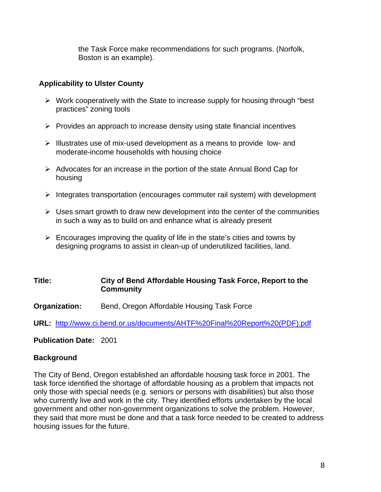the Task Force make recommendations for such programs. (Norfolk, Boston is an example).

### **Applicability to Ulster County**

- $\triangleright$  Work cooperatively with the State to increase supply for housing through "best" practices" zoning tools
- $\triangleright$  Provides an approach to increase density using state financial incentives
- ¾ Illustrates use of mix-used development as a means to provide low- and moderate-income households with housing choice
- $\triangleright$  Advocates for an increase in the portion of the state Annual Bond Cap for housing
- $\triangleright$  Integrates transportation (encourages commuter rail system) with development
- $\triangleright$  Uses smart growth to draw new development into the center of the communities in such a way as to build on and enhance what is already present
- $\triangleright$  Encourages improving the quality of life in the state's cities and towns by designing programs to assist in clean-up of underutilized facilities, land.

### **Title: City of Bend Affordable Housing Task Force, Report to the Community**

**Organization:** Bend, Oregon Affordable Housing Task Force

**URL:** [http://www.ci.bend.or.us/documents/AHTF%20Final%20Report%20\(PDF\).pdf](http://www.ci.bend.or.us/documents/AHTF Final Report (PDF).pdf)

**Publication Date:** 2001

## **Background**

The City of Bend, Oregon established an affordable housing task force in 2001. The task force identified the shortage of affordable housing as a problem that impacts not only those with special needs (e.g. seniors or persons with disabilities) but also those who currently live and work in the city. They identified efforts undertaken by the local government and other non-government organizations to solve the problem. However, they said that more must be done and that a task force needed to be created to address housing issues for the future.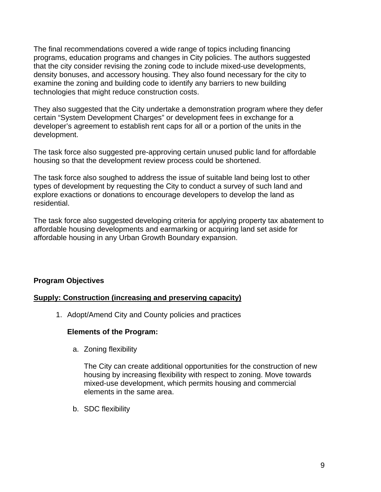The final recommendations covered a wide range of topics including financing programs, education programs and changes in City policies. The authors suggested that the city consider revising the zoning code to include mixed-use developments, density bonuses, and accessory housing. They also found necessary for the city to examine the zoning and building code to identify any barriers to new building technologies that might reduce construction costs.

They also suggested that the City undertake a demonstration program where they defer certain "System Development Charges" or development fees in exchange for a developer's agreement to establish rent caps for all or a portion of the units in the development.

The task force also suggested pre-approving certain unused public land for affordable housing so that the development review process could be shortened.

The task force also soughed to address the issue of suitable land being lost to other types of development by requesting the City to conduct a survey of such land and explore exactions or donations to encourage developers to develop the land as residential.

The task force also suggested developing criteria for applying property tax abatement to affordable housing developments and earmarking or acquiring land set aside for affordable housing in any Urban Growth Boundary expansion.

## **Program Objectives**

### **Supply: Construction (increasing and preserving capacity)**

1. Adopt/Amend City and County policies and practices

### **Elements of the Program:**

a. Zoning flexibility

The City can create additional opportunities for the construction of new housing by increasing flexibility with respect to zoning. Move towards mixed-use development, which permits housing and commercial elements in the same area.

b. SDC flexibility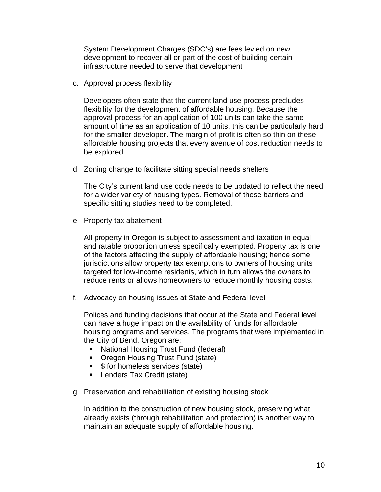System Development Charges (SDC's) are fees levied on new development to recover all or part of the cost of building certain infrastructure needed to serve that development

c. Approval process flexibility

Developers often state that the current land use process precludes flexibility for the development of affordable housing. Because the approval process for an application of 100 units can take the same amount of time as an application of 10 units, this can be particularly hard for the smaller developer. The margin of profit is often so thin on these affordable housing projects that every avenue of cost reduction needs to be explored.

d. Zoning change to facilitate sitting special needs shelters

The City's current land use code needs to be updated to reflect the need for a wider variety of housing types. Removal of these barriers and specific sitting studies need to be completed.

e. Property tax abatement

All property in Oregon is subject to assessment and taxation in equal and ratable proportion unless specifically exempted. Property tax is one of the factors affecting the supply of affordable housing; hence some jurisdictions allow property tax exemptions to owners of housing units targeted for low-income residents, which in turn allows the owners to reduce rents or allows homeowners to reduce monthly housing costs.

f. Advocacy on housing issues at State and Federal level

Polices and funding decisions that occur at the State and Federal level can have a huge impact on the availability of funds for affordable housing programs and services. The programs that were implemented in the City of Bend, Oregon are:

- **National Housing Trust Fund (federal)**
- Oregon Housing Trust Fund (state)
- **5** for homeless services (state)
- **Lenders Tax Credit (state)**
- g. Preservation and rehabilitation of existing housing stock

In addition to the construction of new housing stock, preserving what already exists (through rehabilitation and protection) is another way to maintain an adequate supply of affordable housing.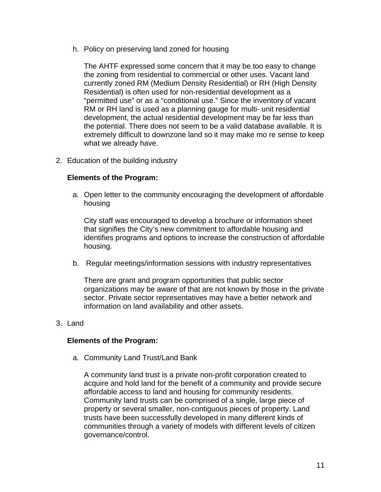h. Policy on preserving land zoned for housing

The AHTF expressed some concern that it may be too easy to change the zoning from residential to commercial or other uses. Vacant land currently zoned RM (Medium Density Residential) or RH (High Density Residential) is often used for non-residential development as a "permitted use" or as a "conditional use." Since the inventory of vacant RM or RH land is used as a planning gauge for multi- unit residential development, the actual residential development may be far less than the potential. There does not seem to be a valid database available. It is extremely difficult to downzone land so it may make mo re sense to keep what we already have.

2. Education of the building industry

### **Elements of the Program:**

a. Open letter to the community encouraging the development of affordable housing

City staff was encouraged to develop a brochure or information sheet that signifies the City's new commitment to affordable housing and identifies programs and options to increase the construction of affordable housing.

b. Regular meetings/information sessions with industry representatives

There are grant and program opportunities that public sector organizations may be aware of that are not known by those in the private sector. Private sector representatives may have a better network and information on land availability and other assets.

### 3. Land

#### **Elements of the Program:**

a. Community Land Trust/Land Bank

A community land trust is a private non-profit corporation created to acquire and hold land for the benefit of a community and provide secure affordable access to land and housing for community residents. Community land trusts can be comprised of a single, large piece of property or several smaller, non-contiguous pieces of property. Land trusts have been successfully developed in many different kinds of communities through a variety of models with different levels of citizen governance/control.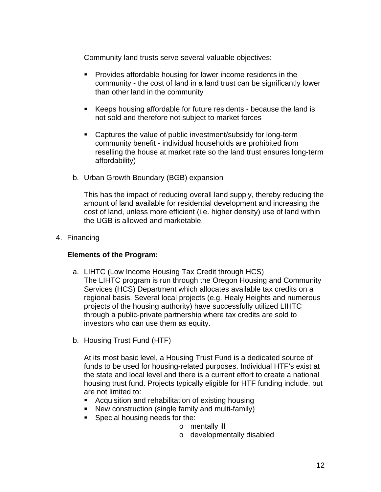Community land trusts serve several valuable objectives:

- **Provides affordable housing for lower income residents in the** community - the cost of land in a land trust can be significantly lower than other land in the community
- Keeps housing affordable for future residents because the land is not sold and therefore not subject to market forces
- Captures the value of public investment/subsidy for long-term community benefit - individual households are prohibited from reselling the house at market rate so the land trust ensures long-term affordability)
- b. Urban Growth Boundary (BGB) expansion

This has the impact of reducing overall land supply, thereby reducing the amount of land available for residential development and increasing the cost of land, unless more efficient (i.e. higher density) use of land within the UGB is allowed and marketable.

4. Financing

### **Elements of the Program:**

- a. LIHTC (Low Income Housing Tax Credit through HCS) The LIHTC program is run through the Oregon Housing and Community Services (HCS) Department which allocates available tax credits on a regional basis. Several local projects (e.g. Healy Heights and numerous projects of the housing authority) have successfully utilized LIHTC through a public-private partnership where tax credits are sold to investors who can use them as equity.
- b. Housing Trust Fund (HTF)

At its most basic level, a Housing Trust Fund is a dedicated source of funds to be used for housing-related purposes. Individual HTF's exist at the state and local level and there is a current effort to create a national housing trust fund. Projects typically eligible for HTF funding include, but are not limited to:

- Acquisition and rehabilitation of existing housing
- New construction (single family and multi-family)
- Special housing needs for the:
	- o mentally ill
		- o developmentally disabled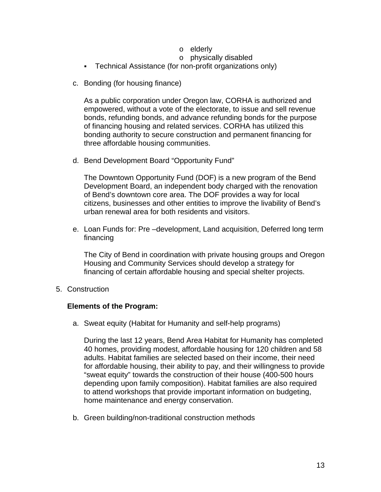- o elderly
- o physically disabled
- Technical Assistance (for non-profit organizations only)
- c. Bonding (for housing finance)

As a public corporation under Oregon law, CORHA is authorized and empowered, without a vote of the electorate, to issue and sell revenue bonds, refunding bonds, and advance refunding bonds for the purpose of financing housing and related services. CORHA has utilized this bonding authority to secure construction and permanent financing for three affordable housing communities.

d. Bend Development Board "Opportunity Fund"

The Downtown Opportunity Fund (DOF) is a new program of the Bend Development Board, an independent body charged with the renovation of Bend's downtown core area. The DOF provides a way for local citizens, businesses and other entities to improve the livability of Bend's urban renewal area for both residents and visitors.

e. Loan Funds for: Pre –development, Land acquisition, Deferred long term financing

The City of Bend in coordination with private housing groups and Oregon Housing and Community Services should develop a strategy for financing of certain affordable housing and special shelter projects.

5. Construction

#### **Elements of the Program:**

a. Sweat equity (Habitat for Humanity and self-help programs)

During the last 12 years, Bend Area Habitat for Humanity has completed 40 homes, providing modest, affordable housing for 120 children and 58 adults. Habitat families are selected based on their income, their need for affordable housing, their ability to pay, and their willingness to provide "sweat equity" towards the construction of their house (400-500 hours depending upon family composition). Habitat families are also required to attend workshops that provide important information on budgeting, home maintenance and energy conservation.

b. Green building/non-traditional construction methods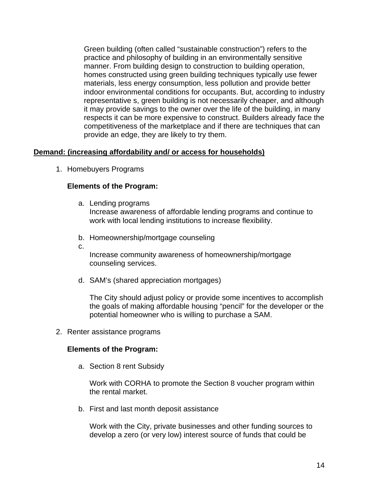Green building (often called "sustainable construction") refers to the practice and philosophy of building in an environmentally sensitive manner. From building design to construction to building operation, homes constructed using green building techniques typically use fewer materials, less energy consumption, less pollution and provide better indoor environmental conditions for occupants. But, according to industry representative s, green building is not necessarily cheaper, and although it may provide savings to the owner over the life of the building, in many respects it can be more expensive to construct. Builders already face the competitiveness of the marketplace and if there are techniques that can provide an edge, they are likely to try them.

### **Demand: (increasing affordability and/ or access for households)**

1. Homebuyers Programs

#### **Elements of the Program:**

- a. Lending programs Increase awareness of affordable lending programs and continue to work with local lending institutions to increase flexibility.
- b. Homeownership/mortgage counseling
- c.

Increase community awareness of homeownership/mortgage counseling services.

d. SAM's (shared appreciation mortgages)

The City should adjust policy or provide some incentives to accomplish the goals of making affordable housing "pencil" for the developer or the potential homeowner who is willing to purchase a SAM.

2. Renter assistance programs

#### **Elements of the Program:**

a. Section 8 rent Subsidy

Work with CORHA to promote the Section 8 voucher program within the rental market.

b. First and last month deposit assistance

Work with the City, private businesses and other funding sources to develop a zero (or very low) interest source of funds that could be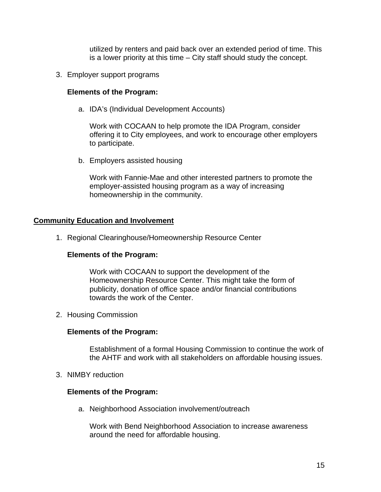utilized by renters and paid back over an extended period of time. This is a lower priority at this time – City staff should study the concept.

3. Employer support programs

### **Elements of the Program:**

a. IDA's (Individual Development Accounts)

Work with COCAAN to help promote the IDA Program, consider offering it to City employees, and work to encourage other employers to participate.

b. Employers assisted housing

Work with Fannie-Mae and other interested partners to promote the employer-assisted housing program as a way of increasing homeownership in the community.

#### **Community Education and Involvement**

1. Regional Clearinghouse/Homeownership Resource Center

### **Elements of the Program:**

Work with COCAAN to support the development of the Homeownership Resource Center. This might take the form of publicity, donation of office space and/or financial contributions towards the work of the Center.

2. Housing Commission

#### **Elements of the Program:**

Establishment of a formal Housing Commission to continue the work of the AHTF and work with all stakeholders on affordable housing issues.

3. NIMBY reduction

#### **Elements of the Program:**

a. Neighborhood Association involvement/outreach

Work with Bend Neighborhood Association to increase awareness around the need for affordable housing.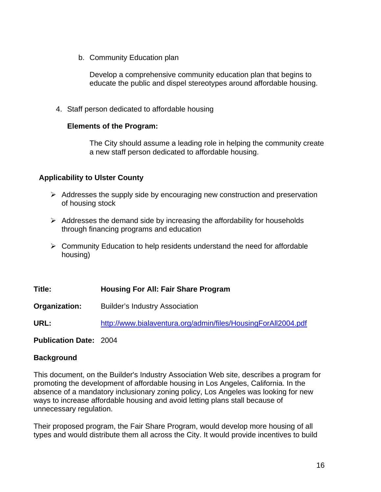b. Community Education plan

Develop a comprehensive community education plan that begins to educate the public and dispel stereotypes around affordable housing.

4. Staff person dedicated to affordable housing

### **Elements of the Program:**

The City should assume a leading role in helping the community create a new staff person dedicated to affordable housing.

## **Applicability to Ulster County**

- $\triangleright$  Addresses the supply side by encouraging new construction and preservation of housing stock
- $\triangleright$  Addresses the demand side by increasing the affordability for households through financing programs and education
- $\triangleright$  Community Education to help residents understand the need for affordable housing)

**Title: Housing For All: Fair Share Program** 

**Organization:** Builder's Industry Association

**URL:** <http://www.bialaventura.org/admin/files/HousingForAll2004.pdf>

**Publication Date:** 2004

## **Background**

This document, on the Builder's Industry Association Web site, describes a program for promoting the development of affordable housing in Los Angeles, California. In the absence of a mandatory inclusionary zoning policy, Los Angeles was looking for new ways to increase affordable housing and avoid letting plans stall because of unnecessary regulation.

Their proposed program, the Fair Share Program, would develop more housing of all types and would distribute them all across the City. It would provide incentives to build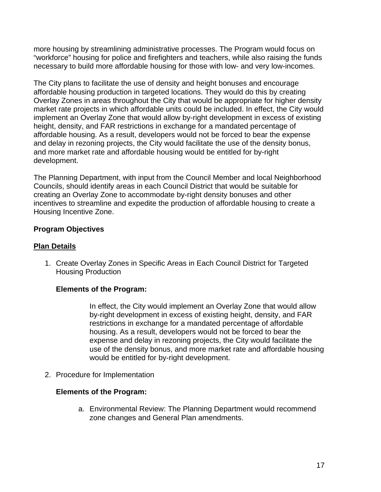more housing by streamlining administrative processes. The Program would focus on "workforce" housing for police and firefighters and teachers, while also raising the funds necessary to build more affordable housing for those with low- and very low-incomes.

The City plans to facilitate the use of density and height bonuses and encourage affordable housing production in targeted locations. They would do this by creating Overlay Zones in areas throughout the City that would be appropriate for higher density market rate projects in which affordable units could be included. In effect, the City would implement an Overlay Zone that would allow by-right development in excess of existing height, density, and FAR restrictions in exchange for a mandated percentage of affordable housing. As a result, developers would not be forced to bear the expense and delay in rezoning projects, the City would facilitate the use of the density bonus, and more market rate and affordable housing would be entitled for by-right development.

The Planning Department, with input from the Council Member and local Neighborhood Councils, should identify areas in each Council District that would be suitable for creating an Overlay Zone to accommodate by-right density bonuses and other incentives to streamline and expedite the production of affordable housing to create a Housing Incentive Zone.

## **Program Objectives**

## **Plan Details**

1. Create Overlay Zones in Specific Areas in Each Council District for Targeted Housing Production

## **Elements of the Program:**

In effect, the City would implement an Overlay Zone that would allow by-right development in excess of existing height, density, and FAR restrictions in exchange for a mandated percentage of affordable housing. As a result, developers would not be forced to bear the expense and delay in rezoning projects, the City would facilitate the use of the density bonus, and more market rate and affordable housing would be entitled for by-right development.

2. Procedure for Implementation

## **Elements of the Program:**

a. Environmental Review: The Planning Department would recommend zone changes and General Plan amendments.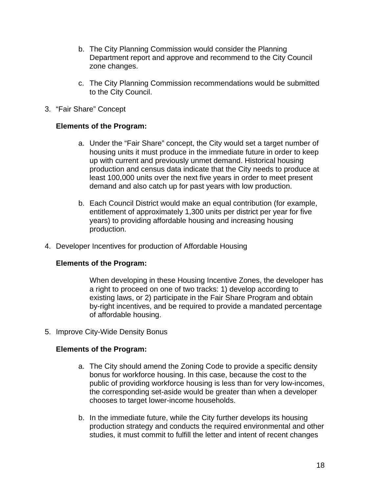- b. The City Planning Commission would consider the Planning Department report and approve and recommend to the City Council zone changes.
- c. The City Planning Commission recommendations would be submitted to the City Council.
- 3. "Fair Share" Concept

### **Elements of the Program:**

- a. Under the "Fair Share" concept, the City would set a target number of housing units it must produce in the immediate future in order to keep up with current and previously unmet demand. Historical housing production and census data indicate that the City needs to produce at least 100,000 units over the next five years in order to meet present demand and also catch up for past years with low production.
- b. Each Council District would make an equal contribution (for example, entitlement of approximately 1,300 units per district per year for five years) to providing affordable housing and increasing housing production.
- 4. Developer Incentives for production of Affordable Housing

### **Elements of the Program:**

When developing in these Housing Incentive Zones, the developer has a right to proceed on one of two tracks: 1) develop according to existing laws, or 2) participate in the Fair Share Program and obtain by-right incentives, and be required to provide a mandated percentage of affordable housing.

5. Improve City-Wide Density Bonus

#### **Elements of the Program:**

- a. The City should amend the Zoning Code to provide a specific density bonus for workforce housing. In this case, because the cost to the public of providing workforce housing is less than for very low-incomes, the corresponding set-aside would be greater than when a developer chooses to target lower-income households.
- b. In the immediate future, while the City further develops its housing production strategy and conducts the required environmental and other studies, it must commit to fulfill the letter and intent of recent changes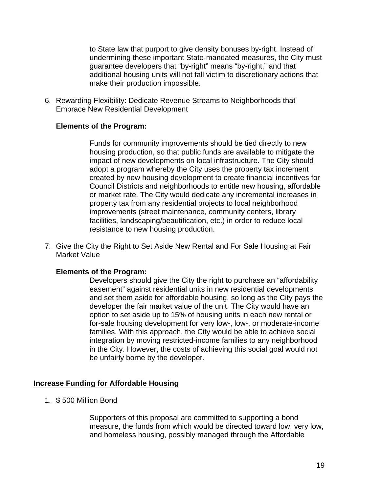to State law that purport to give density bonuses by-right. Instead of undermining these important State-mandated measures, the City must guarantee developers that "by-right" means "by-right," and that additional housing units will not fall victim to discretionary actions that make their production impossible.

6. Rewarding Flexibility: Dedicate Revenue Streams to Neighborhoods that Embrace New Residential Development

### **Elements of the Program:**

Funds for community improvements should be tied directly to new housing production, so that public funds are available to mitigate the impact of new developments on local infrastructure. The City should adopt a program whereby the City uses the property tax increment created by new housing development to create financial incentives for Council Districts and neighborhoods to entitle new housing, affordable or market rate. The City would dedicate any incremental increases in property tax from any residential projects to local neighborhood improvements (street maintenance, community centers, library facilities, landscaping/beautification, etc.) in order to reduce local resistance to new housing production.

7. Give the City the Right to Set Aside New Rental and For Sale Housing at Fair Market Value

#### **Elements of the Program:**

Developers should give the City the right to purchase an "affordability easement" against residential units in new residential developments and set them aside for affordable housing, so long as the City pays the developer the fair market value of the unit. The City would have an option to set aside up to 15% of housing units in each new rental or for-sale housing development for very low-, low-, or moderate-income families. With this approach, the City would be able to achieve social integration by moving restricted-income families to any neighborhood in the City. However, the costs of achieving this social goal would not be unfairly borne by the developer.

### **Increase Funding for Affordable Housing**

1. \$ 500 Million Bond

Supporters of this proposal are committed to supporting a bond measure, the funds from which would be directed toward low, very low, and homeless housing, possibly managed through the Affordable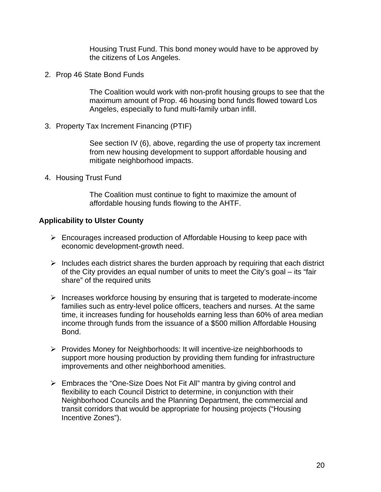Housing Trust Fund. This bond money would have to be approved by the citizens of Los Angeles.

2. Prop 46 State Bond Funds

The Coalition would work with non-profit housing groups to see that the maximum amount of Prop. 46 housing bond funds flowed toward Los Angeles, especially to fund multi-family urban infill.

3. Property Tax Increment Financing (PTIF)

See section IV (6), above, regarding the use of property tax increment from new housing development to support affordable housing and mitigate neighborhood impacts.

4. Housing Trust Fund

The Coalition must continue to fight to maximize the amount of affordable housing funds flowing to the AHTF.

### **Applicability to Ulster County**

- $\triangleright$  Encourages increased production of Affordable Housing to keep pace with economic development-growth need.
- $\triangleright$  Includes each district shares the burden approach by requiring that each district of the City provides an equal number of units to meet the City's goal – its "fair share" of the required units
- $\triangleright$  Increases workforce housing by ensuring that is targeted to moderate-income families such as entry-level police officers, teachers and nurses. At the same time, it increases funding for households earning less than 60% of area median income through funds from the issuance of a \$500 million Affordable Housing Bond.
- ¾ Provides Money for Neighborhoods: It will incentive-ize neighborhoods to support more housing production by providing them funding for infrastructure improvements and other neighborhood amenities.
- ¾ Embraces the "One-Size Does Not Fit All" mantra by giving control and flexibility to each Council District to determine, in conjunction with their Neighborhood Councils and the Planning Department, the commercial and transit corridors that would be appropriate for housing projects ("Housing Incentive Zones").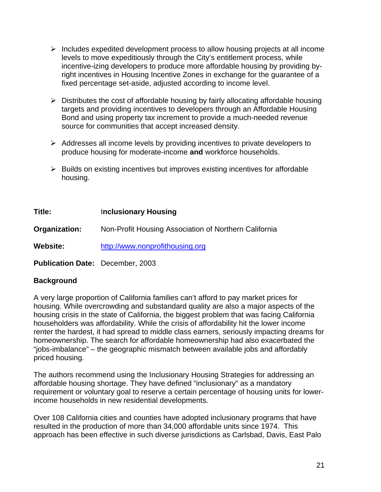- $\triangleright$  Includes expedited development process to allow housing projects at all income levels to move expeditiously through the City's entitlement process, while incentive-izing developers to produce more affordable housing by providing byright incentives in Housing Incentive Zones in exchange for the guarantee of a fixed percentage set-aside, adjusted according to income level.
- $\triangleright$  Distributes the cost of affordable housing by fairly allocating affordable housing targets and providing incentives to developers through an Affordable Housing Bond and using property tax increment to provide a much-needed revenue source for communities that accept increased density.
- $\triangleright$  Addresses all income levels by providing incentives to private developers to produce housing for moderate-income **and** workforce households.
- $\triangleright$  Builds on existing incentives but improves existing incentives for affordable housing.

**Title:** I**nclusionary Housing Organization:** Non-Profit Housing Association of Northern California **Website:** [http://www.nonprofithousing.org](http://www.nonprofithousing.org/)

**Publication Date:** December, 2003

## **Background**

A very large proportion of California families can't afford to pay market prices for housing. While overcrowding and substandard quality are also a major aspects of the housing crisis in the state of California, the biggest problem that was facing California householders was affordability. While the crisis of affordability hit the lower income renter the hardest, it had spread to middle class earners, seriously impacting dreams for homeownership. The search for affordable homeownership had also exacerbated the "jobs-imbalance" – the geographic mismatch between available jobs and affordably priced housing.

The authors recommend using the Inclusionary Housing Strategies for addressing an affordable housing shortage. They have defined "inclusionary" as a mandatory requirement or voluntary goal to reserve a certain percentage of housing units for lowerincome households in new residential developments.

Over 108 California cities and counties have adopted inclusionary programs that have resulted in the production of more than 34,000 affordable units since 1974. This approach has been effective in such diverse jurisdictions as Carlsbad, Davis, East Palo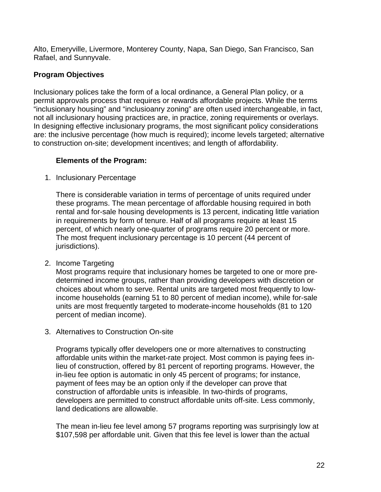Alto, Emeryville, Livermore, Monterey County, Napa, San Diego, San Francisco, San Rafael, and Sunnyvale.

## **Program Objectives**

Inclusionary polices take the form of a local ordinance, a General Plan policy, or a permit approvals process that requires or rewards affordable projects. While the terms "inclusionary housing" and "inclusioanry zoning" are often used interchangeable, in fact, not all inclusionary housing practices are, in practice, zoning requirements or overlays. In designing effective inclusionary programs, the most significant policy considerations are: the inclusive percentage (how much is required); income levels targeted; alternative to construction on-site; development incentives; and length of affordability.

## **Elements of the Program:**

1. Inclusionary Percentage

There is considerable variation in terms of percentage of units required under these programs. The mean percentage of affordable housing required in both rental and for-sale housing developments is 13 percent, indicating little variation in requirements by form of tenure. Half of all programs require at least 15 percent, of which nearly one-quarter of programs require 20 percent or more. The most frequent inclusionary percentage is 10 percent (44 percent of jurisdictions).

2. Income Targeting

Most programs require that inclusionary homes be targeted to one or more predetermined income groups, rather than providing developers with discretion or choices about whom to serve. Rental units are targeted most frequently to lowincome households (earning 51 to 80 percent of median income), while for-sale units are most frequently targeted to moderate-income households (81 to 120 percent of median income).

3. Alternatives to Construction On-site

Programs typically offer developers one or more alternatives to constructing affordable units within the market-rate project. Most common is paying fees inlieu of construction, offered by 81 percent of reporting programs. However, the in-lieu fee option is automatic in only 45 percent of programs; for instance, payment of fees may be an option only if the developer can prove that construction of affordable units is infeasible. In two-thirds of programs, developers are permitted to construct affordable units off-site. Less commonly, land dedications are allowable.

The mean in-lieu fee level among 57 programs reporting was surprisingly low at \$107,598 per affordable unit. Given that this fee level is lower than the actual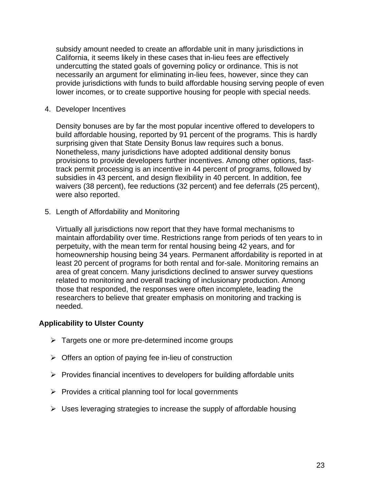subsidy amount needed to create an affordable unit in many jurisdictions in California, it seems likely in these cases that in-lieu fees are effectively undercutting the stated goals of governing policy or ordinance. This is not necessarily an argument for eliminating in-lieu fees, however, since they can provide jurisdictions with funds to build affordable housing serving people of even lower incomes, or to create supportive housing for people with special needs.

4. Developer Incentives

Density bonuses are by far the most popular incentive offered to developers to build affordable housing, reported by 91 percent of the programs. This is hardly surprising given that State Density Bonus law requires such a bonus. Nonetheless, many jurisdictions have adopted additional density bonus provisions to provide developers further incentives. Among other options, fasttrack permit processing is an incentive in 44 percent of programs, followed by subsidies in 43 percent, and design flexibility in 40 percent. In addition, fee waivers (38 percent), fee reductions (32 percent) and fee deferrals (25 percent), were also reported.

5. Length of Affordability and Monitoring

Virtually all jurisdictions now report that they have formal mechanisms to maintain affordability over time. Restrictions range from periods of ten years to in perpetuity, with the mean term for rental housing being 42 years, and for homeownership housing being 34 years. Permanent affordability is reported in at least 20 percent of programs for both rental and for-sale. Monitoring remains an area of great concern. Many jurisdictions declined to answer survey questions related to monitoring and overall tracking of inclusionary production. Among those that responded, the responses were often incomplete, leading the researchers to believe that greater emphasis on monitoring and tracking is needed.

### **Applicability to Ulster County**

- $\triangleright$  Targets one or more pre-determined income groups
- $\triangleright$  Offers an option of paying fee in-lieu of construction
- $\triangleright$  Provides financial incentives to developers for building affordable units
- $\triangleright$  Provides a critical planning tool for local governments
- $\triangleright$  Uses leveraging strategies to increase the supply of affordable housing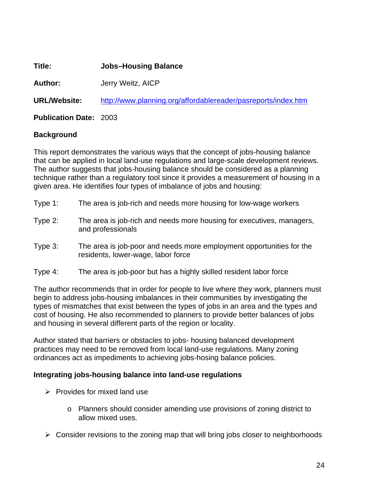**Title: Jobs–Housing Balance** 

**Author:** Jerry Weitz, AICP

**URL/Website:** <http://www.planning.org/affordablereader/pasreports/index.htm>

**Publication Date:** 2003

## **Background**

This report demonstrates the various ways that the concept of jobs-housing balance that can be applied in local land-use regulations and large-scale development reviews. The author suggests that jobs-housing balance should be considered as a planning technique rather than a regulatory tool since it provides a measurement of housing in a given area. He identifies four types of imbalance of jobs and housing:

- Type 1: The area is job-rich and needs more housing for low-wage workers
- Type 2: The area is job-rich and needs more housing for executives, managers, and professionals
- Type 3: The area is job-poor and needs more employment opportunities for the residents, lower-wage, labor force
- Type 4: The area is job-poor but has a highly skilled resident labor force

The author recommends that in order for people to live where they work, planners must begin to address jobs-housing imbalances in their communities by investigating the types of mismatches that exist between the types of jobs in an area and the types and cost of housing. He also recommended to planners to provide better balances of jobs and housing in several different parts of the region or locality.

Author stated that barriers or obstacles to jobs- housing balanced development practices may need to be removed from local land-use regulations. Many zoning ordinances act as impediments to achieving jobs-hosing balance policies.

## **Integrating jobs-housing balance into land-use regulations**

- $\triangleright$  Provides for mixed land use
	- o Planners should consider amending use provisions of zoning district to allow mixed uses.
- $\triangleright$  Consider revisions to the zoning map that will bring jobs closer to neighborhoods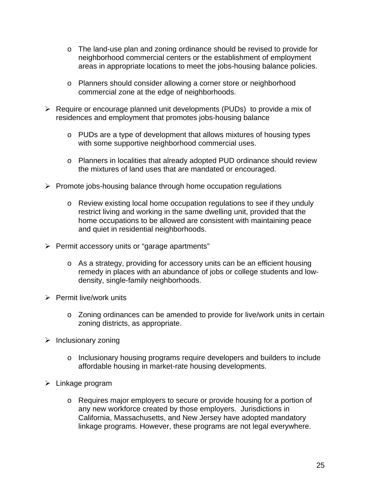- o The land-use plan and zoning ordinance should be revised to provide for neighborhood commercial centers or the establishment of employment areas in appropriate locations to meet the jobs-housing balance policies.
- o Planners should consider allowing a corner store or neighborhood commercial zone at the edge of neighborhoods.
- $\triangleright$  Require or encourage planned unit developments (PUDs) to provide a mix of residences and employment that promotes jobs-housing balance
	- o PUDs are a type of development that allows mixtures of housing types with some supportive neighborhood commercial uses.
	- o Planners in localities that already adopted PUD ordinance should review the mixtures of land uses that are mandated or encouraged.
- $\triangleright$  Promote jobs-housing balance through home occupation regulations
	- o Review existing local home occupation regulations to see if they unduly restrict living and working in the same dwelling unit, provided that the home occupations to be allowed are consistent with maintaining peace and quiet in residential neighborhoods.
- ¾ Permit accessory units or "garage apartments"
	- o As a strategy, providing for accessory units can be an efficient housing remedy in places with an abundance of jobs or college students and lowdensity, single-family neighborhoods.
- $\triangleright$  Permit live/work units
	- o Zoning ordinances can be amended to provide for live/work units in certain zoning districts, as appropriate.
- $\triangleright$  Inclusionary zoning
	- o Inclusionary housing programs require developers and builders to include affordable housing in market-rate housing developments.
- $\triangleright$  Linkage program
	- o Requires major employers to secure or provide housing for a portion of any new workforce created by those employers. Jurisdictions in California, Massachusetts, and New Jersey have adopted mandatory linkage programs. However, these programs are not legal everywhere.